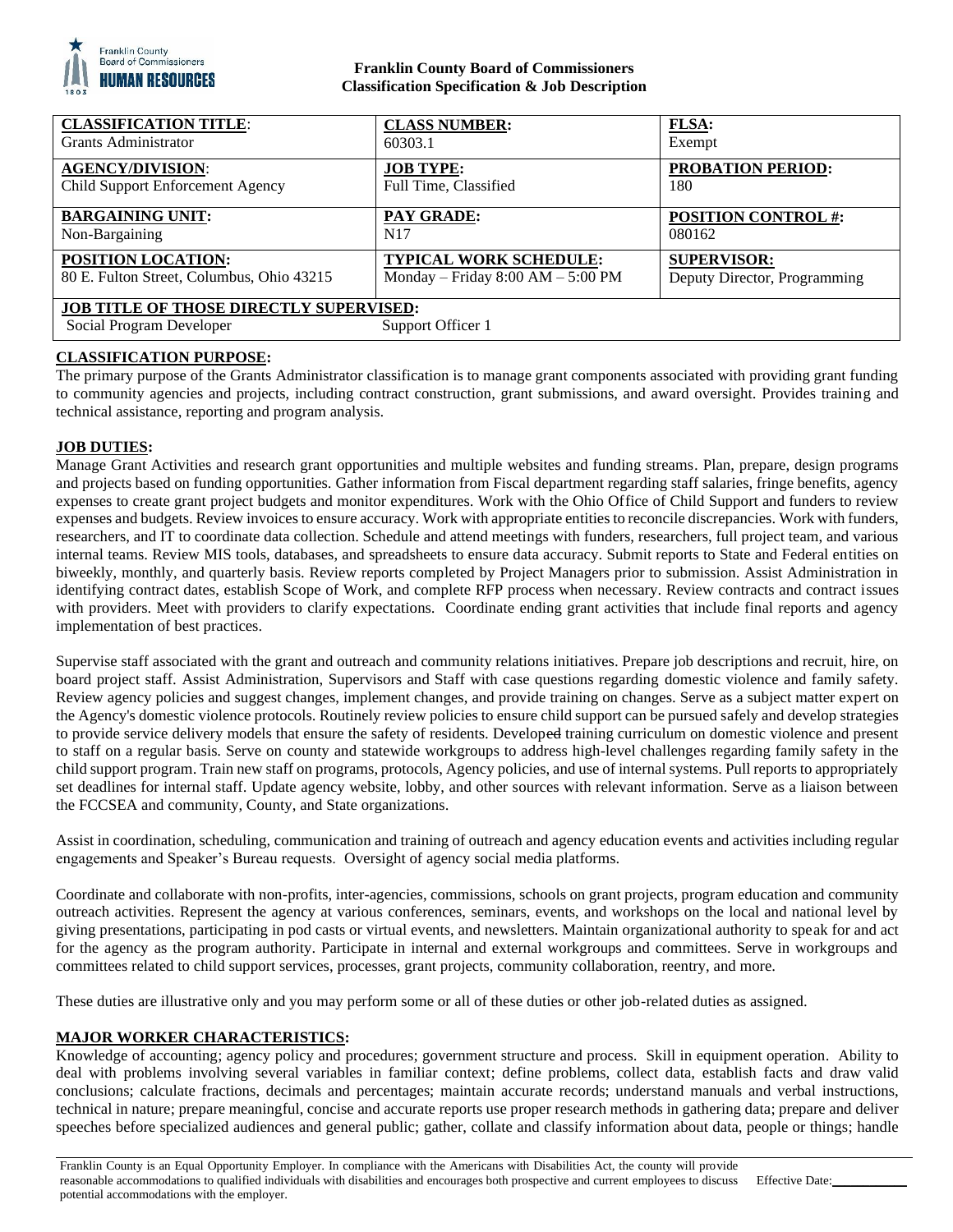

# **Franklin County Board of Commissioners Classification Specification & Job Description**

| <b>CLASSIFICATION TITLE:</b>                                                                    | <b>CLASS NUMBER:</b>                  | FLSA:                        |
|-------------------------------------------------------------------------------------------------|---------------------------------------|------------------------------|
| <b>Grants Administrator</b>                                                                     | 60303.1                               | Exempt                       |
| <b>AGENCY/DIVISION:</b>                                                                         | <b>JOB TYPE:</b>                      | <b>PROBATION PERIOD:</b>     |
| Child Support Enforcement Agency                                                                | Full Time, Classified                 | 180                          |
| <b>BARGAINING UNIT:</b>                                                                         | <b>PAY GRADE:</b>                     | <b>POSITION CONTROL #:</b>   |
| Non-Bargaining                                                                                  | N <sub>17</sub>                       | 080162                       |
| <b>POSITION LOCATION:</b>                                                                       | <b>TYPICAL WORK SCHEDULE:</b>         | <b>SUPERVISOR:</b>           |
| 80 E. Fulton Street, Columbus, Ohio 43215                                                       | Monday – Friday $8:00$ AM – $5:00$ PM | Deputy Director, Programming |
| <b>JOB TITLE OF THOSE DIRECTLY SUPERVISED:</b><br>Social Program Developer<br>Support Officer 1 |                                       |                              |

# **CLASSIFICATION PURPOSE:**

The primary purpose of the Grants Administrator classification is to manage grant components associated with providing grant funding to community agencies and projects, including contract construction, grant submissions, and award oversight. Provides training and technical assistance, reporting and program analysis.

## **JOB DUTIES:**

Manage Grant Activities and research grant opportunities and multiple websites and funding streams. Plan, prepare, design programs and projects based on funding opportunities. Gather information from Fiscal department regarding staff salaries, fringe benefits, agency expenses to create grant project budgets and monitor expenditures. Work with the Ohio Office of Child Support and funders to review expenses and budgets. Review invoices to ensure accuracy. Work with appropriate entities to reconcile discrepancies. Work with funders, researchers, and IT to coordinate data collection. Schedule and attend meetings with funders, researchers, full project team, and various internal teams. Review MIS tools, databases, and spreadsheets to ensure data accuracy. Submit reports to State and Federal entities on biweekly, monthly, and quarterly basis. Review reports completed by Project Managers prior to submission. Assist Administration in identifying contract dates, establish Scope of Work, and complete RFP process when necessary. Review contracts and contract issues with providers. Meet with providers to clarify expectations. Coordinate ending grant activities that include final reports and agency implementation of best practices.

Supervise staff associated with the grant and outreach and community relations initiatives. Prepare job descriptions and recruit, hire, on board project staff. Assist Administration, Supervisors and Staff with case questions regarding domestic violence and family safety. Review agency policies and suggest changes, implement changes, and provide training on changes. Serve as a subject matter expert on the Agency's domestic violence protocols. Routinely review policies to ensure child support can be pursued safely and develop strategies to provide service delivery models that ensure the safety of residents. Developed training curriculum on domestic violence and present to staff on a regular basis. Serve on county and statewide workgroups to address high-level challenges regarding family safety in the child support program. Train new staff on programs, protocols, Agency policies, and use of internal systems. Pull reports to appropriately set deadlines for internal staff. Update agency website, lobby, and other sources with relevant information. Serve as a liaison between the FCCSEA and community, County, and State organizations.

Assist in coordination, scheduling, communication and training of outreach and agency education events and activities including regular engagements and Speaker's Bureau requests. Oversight of agency social media platforms.

Coordinate and collaborate with non-profits, inter-agencies, commissions, schools on grant projects, program education and community outreach activities. Represent the agency at various conferences, seminars, events, and workshops on the local and national level by giving presentations, participating in pod casts or virtual events, and newsletters. Maintain organizational authority to speak for and act for the agency as the program authority. Participate in internal and external workgroups and committees. Serve in workgroups and committees related to child support services, processes, grant projects, community collaboration, reentry, and more.

These duties are illustrative only and you may perform some or all of these duties or other job-related duties as assigned.

## **MAJOR WORKER CHARACTERISTICS:**

Knowledge of accounting; agency policy and procedures; government structure and process. Skill in equipment operation. Ability to deal with problems involving several variables in familiar context; define problems, collect data, establish facts and draw valid conclusions; calculate fractions, decimals and percentages; maintain accurate records; understand manuals and verbal instructions, technical in nature; prepare meaningful, concise and accurate reports use proper research methods in gathering data; prepare and deliver speeches before specialized audiences and general public; gather, collate and classify information about data, people or things; handle